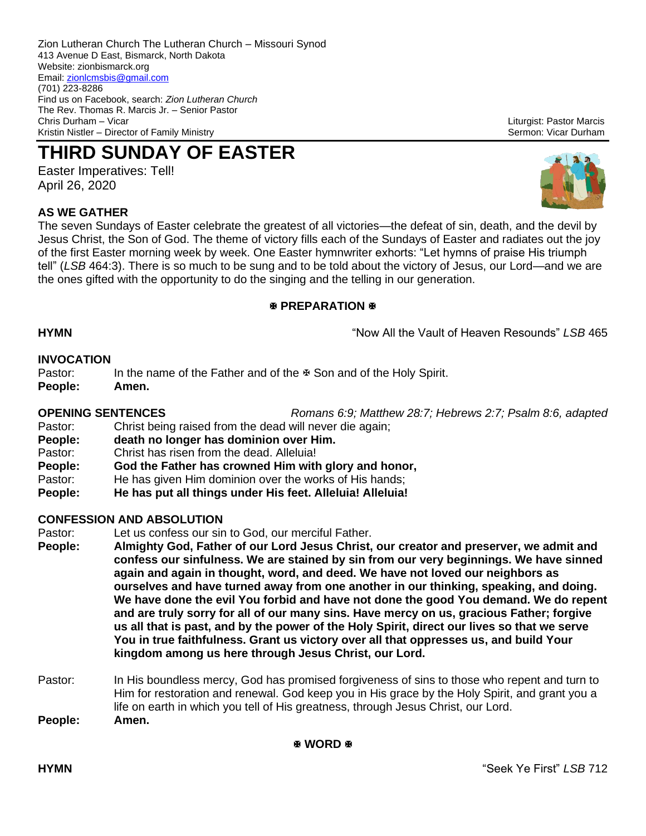Zion Lutheran Church The Lutheran Church – Missouri Synod 413 Avenue D East, Bismarck, North Dakota Website: zionbismarck.org Email[: zionlcmsbis@gmail.com](mailto:zionlcmsbis@gmail.com) (701) 223-8286 Find us on Facebook, search: *Zion Lutheran Church* The Rev. Thomas R. Marcis Jr. – Senior Pastor Kristin Nistler – Director of Family Ministry Sermon: Vicar Durham Sermon: Vicar Durham

# **THIRD SUNDAY OF EASTER**

Easter Imperatives: Tell! April 26, 2020

Liturgist: Pastor Marcis

**AS WE GATHER** The seven Sundays of Easter celebrate the greatest of all victories—the defeat of sin, death, and the devil by Jesus Christ, the Son of God. The theme of victory fills each of the Sundays of Easter and radiates out the joy of the first Easter morning week by week. One Easter hymnwriter exhorts: "Let hymns of praise His triumph tell" (*LSB* 464:3). There is so much to be sung and to be told about the victory of Jesus, our Lord—and we are the ones gifted with the opportunity to do the singing and the telling in our generation.

# **EXPREPARATION**

**HYMN** "Now All the Vault of Heaven Resounds" *LSB* 465

# **INVOCATION**

Pastor: In the name of the Father and of the  $\frac{1}{2}$  Son and of the Holy Spirit.

**People: Amen.**

### **OPENING SENTENCES** *Romans 6:9; Matthew 28:7; Hebrews 2:7; Psalm 8:6, adapted*

- Pastor: Christ being raised from the dead will never die again;
- **People: death no longer has dominion over Him.**
- Pastor: Christ has risen from the dead. Alleluia!
- **People: God the Father has crowned Him with glory and honor,**
- Pastor: He has given Him dominion over the works of His hands;
- **People: He has put all things under His feet. Alleluia! Alleluia!**

# **CONFESSION AND ABSOLUTION**

- Pastor: Let us confess our sin to God, our merciful Father.
- **People: Almighty God, Father of our Lord Jesus Christ, our creator and preserver, we admit and confess our sinfulness. We are stained by sin from our very beginnings. We have sinned again and again in thought, word, and deed. We have not loved our neighbors as ourselves and have turned away from one another in our thinking, speaking, and doing. We have done the evil You forbid and have not done the good You demand. We do repent and are truly sorry for all of our many sins. Have mercy on us, gracious Father; forgive us all that is past, and by the power of the Holy Spirit, direct our lives so that we serve You in true faithfulness. Grant us victory over all that oppresses us, and build Your kingdom among us here through Jesus Christ, our Lord.**
- Pastor: In His boundless mercy, God has promised forgiveness of sins to those who repent and turn to Him for restoration and renewal. God keep you in His grace by the Holy Spirit, and grant you a life on earth in which you tell of His greatness, through Jesus Christ, our Lord. **People: Amen.**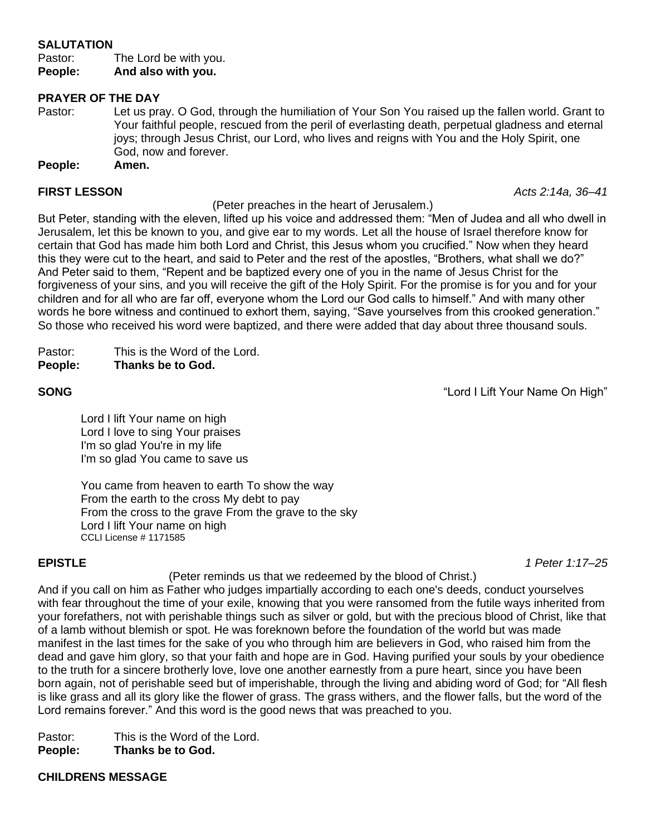# **SALUTATION**

Pastor: The Lord be with you. **People: And also with you.**

### **PRAYER OF THE DAY**

Pastor: Let us pray. O God, through the humiliation of Your Son You raised up the fallen world. Grant to Your faithful people, rescued from the peril of everlasting death, perpetual gladness and eternal joys; through Jesus Christ, our Lord, who lives and reigns with You and the Holy Spirit, one God, now and forever.

**People: Amen.**

## **FIRST LESSON** *Acts 2:14a, 36–41*

(Peter preaches in the heart of Jerusalem.)

But Peter, standing with the eleven, lifted up his voice and addressed them: "Men of Judea and all who dwell in Jerusalem, let this be known to you, and give ear to my words. Let all the house of Israel therefore know for certain that God has made him both Lord and Christ, this Jesus whom you crucified." Now when they heard this they were cut to the heart, and said to Peter and the rest of the apostles, "Brothers, what shall we do?" And Peter said to them, "Repent and be baptized every one of you in the name of Jesus Christ for the forgiveness of your sins, and you will receive the gift of the Holy Spirit. For the promise is for you and for your children and for all who are far off, everyone whom the Lord our God calls to himself." And with many other words he bore witness and continued to exhort them, saying, "Save yourselves from this crooked generation." So those who received his word were baptized, and there were added that day about three thousand souls.

| Pastor: |  | This is the Word of the Lord. |  |  |
|---------|--|-------------------------------|--|--|
|         |  |                               |  |  |

**People: Thanks be to God.**

**SONG SONG SONG** *CONG* **EXECUTE: CONG** *CONG CONG CONG CONG CONG CONG CONG CONG CONG CONG CONG CONG CONG CONG CONG CONG CONG CONG CONG C* 

Lord I lift Your name on high Lord I love to sing Your praises I'm so glad You're in my life I'm so glad You came to save us

You came from heaven to earth To show the way From the earth to the cross My debt to pay From the cross to the grave From the grave to the sky Lord I lift Your name on high CCLI License # 1171585

**EPISTLE** *1 Peter 1:17–25*

(Peter reminds us that we redeemed by the blood of Christ.)

And if you call on him as Father who judges impartially according to each one's deeds, conduct yourselves with fear throughout the time of your exile, knowing that you were ransomed from the futile ways inherited from your forefathers, not with perishable things such as silver or gold, but with the precious blood of Christ, like that of a lamb without blemish or spot. He was foreknown before the foundation of the world but was made manifest in the last times for the sake of you who through him are believers in God, who raised him from the dead and gave him glory, so that your faith and hope are in God. Having purified your souls by your obedience to the truth for a sincere brotherly love, love one another earnestly from a pure heart, since you have been born again, not of perishable seed but of imperishable, through the living and abiding word of God; for "All flesh is like grass and all its glory like the flower of grass. The grass withers, and the flower falls, but the word of the Lord remains forever." And this word is the good news that was preached to you.

Pastor: This is the Word of the Lord.

**People: Thanks be to God.**

**CHILDRENS MESSAGE**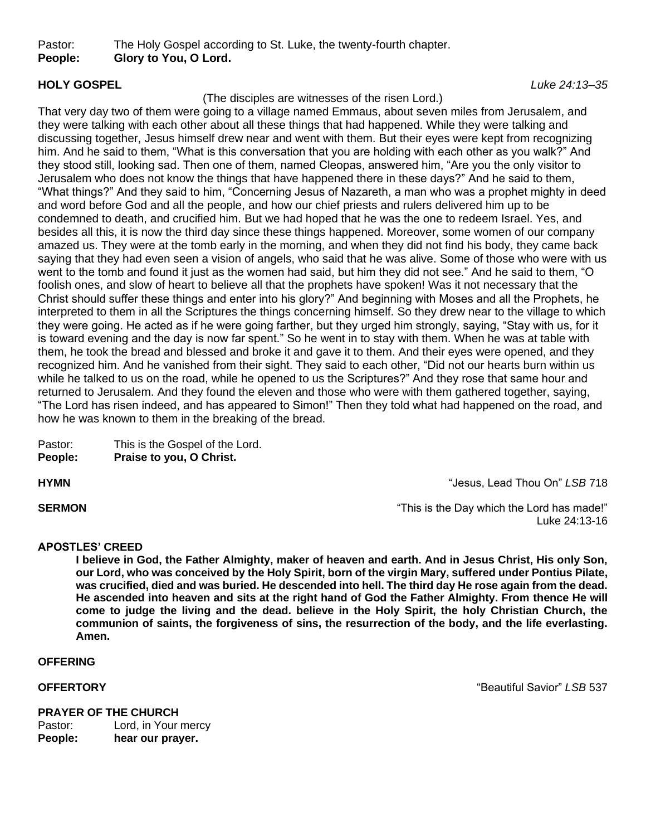Pastor: The Holy Gospel according to St. Luke, the twenty-fourth chapter. **People: Glory to You, O Lord.**

# (The disciples are witnesses of the risen Lord.)

That very day two of them were going to a village named Emmaus, about seven miles from Jerusalem, and they were talking with each other about all these things that had happened. While they were talking and discussing together, Jesus himself drew near and went with them. But their eyes were kept from recognizing him. And he said to them, "What is this conversation that you are holding with each other as you walk?" And they stood still, looking sad. Then one of them, named Cleopas, answered him, "Are you the only visitor to Jerusalem who does not know the things that have happened there in these days?" And he said to them, "What things?" And they said to him, "Concerning Jesus of Nazareth, a man who was a prophet mighty in deed and word before God and all the people, and how our chief priests and rulers delivered him up to be condemned to death, and crucified him. But we had hoped that he was the one to redeem Israel. Yes, and besides all this, it is now the third day since these things happened. Moreover, some women of our company amazed us. They were at the tomb early in the morning, and when they did not find his body, they came back saying that they had even seen a vision of angels, who said that he was alive. Some of those who were with us went to the tomb and found it just as the women had said, but him they did not see." And he said to them, "O foolish ones, and slow of heart to believe all that the prophets have spoken! Was it not necessary that the Christ should suffer these things and enter into his glory?" And beginning with Moses and all the Prophets, he interpreted to them in all the Scriptures the things concerning himself. So they drew near to the village to which they were going. He acted as if he were going farther, but they urged him strongly, saying, "Stay with us, for it is toward evening and the day is now far spent." So he went in to stay with them. When he was at table with them, he took the bread and blessed and broke it and gave it to them. And their eyes were opened, and they recognized him. And he vanished from their sight. They said to each other, "Did not our hearts burn within us while he talked to us on the road, while he opened to us the Scriptures?" And they rose that same hour and returned to Jerusalem. And they found the eleven and those who were with them gathered together, saying, "The Lord has risen indeed, and has appeared to Simon!" Then they told what had happened on the road, and how he was known to them in the breaking of the bread.

| Pastor:          | This is the Gospel of the Lord. |
|------------------|---------------------------------|
| <b>B</b> arachar | $\mathbf{D}_{\text{total}}$     |

**People: Praise to you, O Christ.**

**HYMN** "Jesus, Lead Thou On" *LSB* 718

**SERMON SERMON SERMON** *CONSIDER ALCONSTANT <b>SERMON CONSIDER ALCONSTANT <b>CONSIDER CONSIDERATE: <b>CONSIDER CONSIDERATE: <b>CONSIDER CONSIDERATE: <b>CONSIDER CONSIDERATE: <b>CONSIDER CONSIDERATE: <b>C* Luke 24:13-16

### **APOSTLES' CREED**

**I believe in God, the Father Almighty, maker of heaven and earth. And in Jesus Christ, His only Son, our Lord, who was conceived by the Holy Spirit, born of the virgin Mary, suffered under Pontius Pilate, was crucified, died and was buried. He descended into hell. The third day He rose again from the dead. He ascended into heaven and sits at the right hand of God the Father Almighty. From thence He will come to judge the living and the dead. believe in the Holy Spirit, the holy Christian Church, the communion of saints, the forgiveness of sins, the resurrection of the body, and the life everlasting. Amen.**

**OFFERING**

**OFFERTORY** "Beautiful Savior" *LSB* 537

# **PRAYER OF THE CHURCH** Pastor: Lord, in Your mercy **People: hear our prayer.**

**HOLY GOSPEL** *Luke 24:13–35*